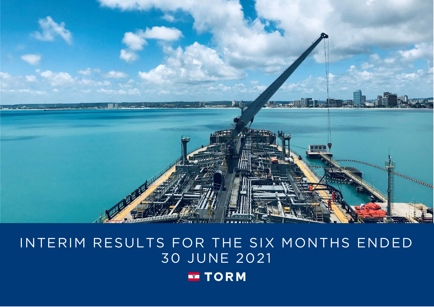

# INTERIM RESULTS FOR THE SIX MONTHS ENDED 30 JUNE 2021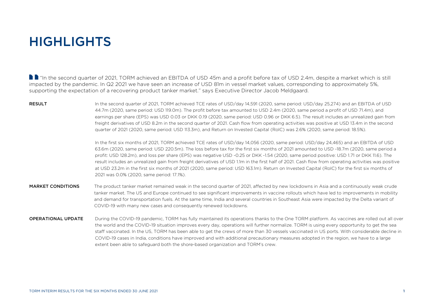## HIGHLIGHTS

■ "In the second quarter of 2021, TORM achieved an EBITDA of USD 45m and a profit before tax of USD 2.4m, despite a market which is still impacted by the pandemic. In Q2 2021 we have seen an increase of USD 81m in vessel market values, corresponding to approximately 5%, supporting the expectation of a recovering product tanker market." says Executive Director Jacob Meldgaard.

RESULT States of the second quarter of 2021, TORM achieved TCE rates of USD/day 14,591 (2020, same period: USD/day 25,274) and an EBITDA of USD 44.7m (2020, same period: USD 119.0m). The profit before tax amounted to USD 2.4m (2020, same period a profit of USD 71.4m), and earnings per share (EPS) was USD 0.03 or DKK 0.19 (2020, same period: USD 0.96 or DKK 6.5). The result includes an unrealized gain from freight derivatives of USD 8.2m in the second quarter of 2021. Cash flow from operating activities was positive at USD 13.4m in the second quarter of 2021 (2020, same period: USD 113.3m), and Return on Invested Capital (RoIC) was 2.6% (2020, same period: 18.5%).

> In the first six months of 2021, TORM achieved TCE rates of USD/day 14,056 (2020, same period: USD/day 24,465) and an EBITDA of USD 63.6m (2020, same period: USD 220.5m). The loss before tax for the first six months of 2021 amounted to USD -18.7m (2020, same period a profit: USD 128.2m), and loss per share (EPS) was negative USD -0.25 or DKK -1.54 (2020, same period positive: USD 1.71 or DKK 11.6). The result includes an unrealized gain from freight derivatives of USD 1.1m in the first half of 2021. Cash flow from operating activities was positive at USD 23.2m in the first six months of 2021 (2020, same period: USD 163.1m). Return on Invested Capital (RoIC) for the first six months of 2021 was 0.0% (2020, same period: 17.1%).

- MARKET CONDITIONS The product tanker market remained weak in the second quarter of 2021, affected by new lockdowns in Asia and a continuously weak crude tanker market. The US and Europe continued to see significant improvements in vaccine rollouts which have led to improvements in mobility and demand for transportation fuels. At the same time, India and several countries in Southeast Asia were impacted by the Delta variant of COVID-19 with many new cases and consequently renewed lockdowns.
- OPERATIONAL UPDATE During the COVID-19 pandemic, TORM has fully maintained its operations thanks to the One TORM platform. As vaccines are rolled out all over the world and the COVID-19 situation improves every day, operations will further normalize. TORM is using every opportunity to get the sea staff vaccinated. In the US, TORM has been able to get the crews of more than 30 vessels vaccinated in US ports. With considerable decline in COVID-19 cases in India, conditions have improved and with additional precautionary measures adopted in the region, we have to a large extent been able to safeguard both the shore-based organization and TORM's crew.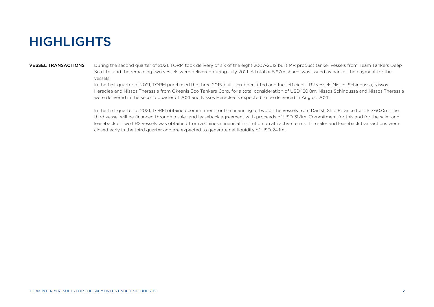## **HIGHLIGHTS**

VESSEL TRANSACTIONS During the second quarter of 2021, TORM took delivery of six of the eight 2007-2012 built MR product tanker vessels from Team Tankers Deep Sea Ltd. and the remaining two vessels were delivered during July 2021. A total of 5.97m shares was issued as part of the payment for the vessels.

> In the first quarter of 2021, TORM purchased the three 2015-built scrubber-fitted and fuel-efficient LR2 vessels Nissos Schinoussa, Nissos Heraclea and Nissos Therassia from Okeanis Eco Tankers Corp. for a total consideration of USD 120.8m. Nissos Schinoussa and Nissos Therassia were delivered in the second quarter of 2021 and Nissos Heraclea is expected to be delivered in August 2021.

In the first quarter of 2021, TORM obtained commitment for the financing of two of the vessels from Danish Ship Finance for USD 60.0m. The third vessel will be financed through a sale- and leaseback agreement with proceeds of USD 31.8m. Commitment for this and for the sale- and leaseback of two LR2 vessels was obtained from a Chinese financial institution on attractive terms. The sale- and leaseback transactions were closed early in the third quarter and are expected to generate net liquidity of USD 24.1m.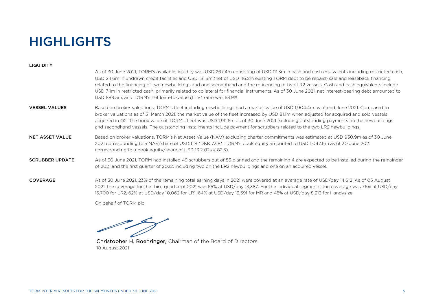## **HIGHLIGHTS**

### **LIQUIDITY**

|                        | As of 30 June 2021, TORM's available liquidity was USD 267.4m consisting of USD 111.3m in cash and cash equivalents including restricted cash,<br>USD 24.6m in undrawn credit facilities and USD 131.5m (net of USD 46.2m existing TORM debt to be repaid) sale and leaseback financing<br>related to the financing of two newbuildings and one secondhand and the refinancing of two LR2 vessels. Cash and cash equivalents include<br>USD 7.1m in restricted cash, primarily related to collateral for financial instruments. As of 30 June 2021, net interest-bearing debt amounted to<br>USD 889.5m, and TORM's net loan-to-value (LTV) ratio was 53.9%. |
|------------------------|--------------------------------------------------------------------------------------------------------------------------------------------------------------------------------------------------------------------------------------------------------------------------------------------------------------------------------------------------------------------------------------------------------------------------------------------------------------------------------------------------------------------------------------------------------------------------------------------------------------------------------------------------------------|
| <b>VESSEL VALUES</b>   | Based on broker valuations, TORM's fleet including newbuildings had a market value of USD 1,904.4m as of end June 2021. Compared to<br>broker valuations as of 31 March 2021, the market value of the fleet increased by USD 81.1m when adjusted for acquired and sold vessels<br>acquired in Q2. The book value of TORM's fleet was USD 1,911.6m as of 30 June 2021 excluding outstanding payments on the newbuildings<br>and secondhand vessels. The outstanding installments include payment for scrubbers related to the two LR2 newbuildings.                                                                                                           |
| <b>NET ASSET VALUE</b> | Based on broker valuations, TORM's Net Asset Value (NAV) excluding charter commitments was estimated at USD 930.9m as of 30 June<br>2021 corresponding to a NAV/share of USD 11.8 (DKK 73.8). TORM's book equity amounted to USD 1,047.6m as of 30 June 2021<br>corresponding to a book equity/share of USD 13.2 (DKK 82.5).                                                                                                                                                                                                                                                                                                                                 |
| <b>SCRUBBER UPDATE</b> | As of 30 June 2021, TORM had installed 49 scrubbers out of 53 planned and the remaining 4 are expected to be installed during the remainder<br>of 2021 and the first quarter of 2022, including two on the LR2 newbuildings and one on an acquired vessel.                                                                                                                                                                                                                                                                                                                                                                                                   |
| <b>COVERAGE</b>        | As of 30 June 2021, 23% of the remaining total earning days in 2021 were covered at an average rate of USD/day 14,612. As of 05 August<br>2021, the coverage for the third quarter of 2021 was 65% at USD/day 13,387. For the individual segments, the coverage was 76% at USD/day<br>15,700 for LR2, 62% at USD/day 10,062 for LR1, 64% at USD/day 13,391 for MR and 45% at USD/day 8,313 for Handysize.                                                                                                                                                                                                                                                    |
|                        |                                                                                                                                                                                                                                                                                                                                                                                                                                                                                                                                                                                                                                                              |

On behalf of TORM plc

Christopher H. Boehringer, Chairman of the Board of Directors 10 August 2021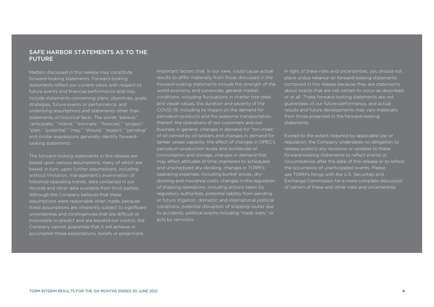### SAFE HARBOR STATEMENTS AS TO THE FUTURE

Matters discussed in this release may constitute forward-looking statements. Forward-looking statements reflect our current views with respect to future events and financial performance and may include statements concerning plans, objectives, goals, strategies, future events or performance, and underlying assumptions and statements other than statements of historical facts. The words "believe," "anticipate," "intend," "estimate," "forecast" "project," "plan," "potential," "may," "should," "expect," "pending" and similar expressions generally identify forwardlooking statements.

The forward-looking statements in this release are based upon various assumptions, many of which are based, in turn, upon further assumptions, including without limitation, management's examination of historical operating trends, data contained in our records and other data available from third parties. Although the Company believes that these assumptions were reasonable when made, because these assumptions are inherently subject to significant uncertainties and contingencies that are difficult or impossible to predict and are beyond our control, the Company cannot guarantee that it will achieve or accomplish these expectations, beliefs or projections.

Important factors that, in our view, could cause actual results to differ materially from those discussed in the forward-looking statements include the strength of the world economy and currencies, general market conditions, including fluctuations in charter hire rates and vessel values, the duration and severity of the COVID-19, including its impact on the demand for petroleum products and the seaborne transportation thereof, the operations of our customers and our business in general, changes in demand for "ton-miles" of oil carried by oil tankers and changes in demand for tanker vessel capacity, the effect of changes in OPEC's petroleum production levels and worldwide oil consumption and storage, changes in demand that may affect attitudes of time charterers to scheduled and unscheduled dry-docking, changes in TORM's operating expenses, including bunker prices, drydocking and insurance costs, changes in the regulation of shipping operations, including actions taken by regulatory authorities, potential liability from pending or future litigation, domestic and international political conditions, potential disruption of shipping routes due to accidents, political events including "trade wars," or acts by terrorists.

In light of these risks and uncertainties, you should not place undue reliance on forward-looking statements contained in this release because they are statements about events that are not certain to occur as described or at all. These forward-looking statements are not guarantees of our future performance, and actual results and future developments may vary materially from those projected in the forward-looking statements.

Except to the extent required by applicable law or regulation, the Company undertakes no obligation to release publicly any revisions or updates to these forward-looking statements to reflect events or circumstances after the date of this release or to reflect the occurrence of unanticipated events. Please see TORM's filings with the U.S. Securities and Exchange Commission for a more complete discussion of certain of these and other risks and uncertainties.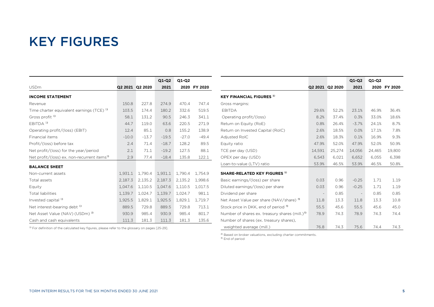## KEY FIGURES

֦

|                                                         |         |                 | $Q1-Q2$ | $Q1-Q2$ |              |
|---------------------------------------------------------|---------|-----------------|---------|---------|--------------|
| <b>USDm</b>                                             |         | Q2 2021 Q2 2020 | 2021    |         | 2020 FY 2020 |
| <b>INCOME STATEMENT</b>                                 |         |                 |         |         |              |
| Revenue                                                 | 150.8   | 227.8           | 274.9   | 470.4   | 747.4        |
| Time charter equivalent earnings (TCE) <sup>1)</sup>    | 103.5   | 174.4           | 180.2   | 332.6   | 519.5        |
| Gross profit <sup>1)</sup>                              | 58.1    | 131.2           | 90.5    | 246.3   | 341.1        |
| $EBITDA$ <sup>1)</sup>                                  | 44.7    | 119.0           | 63.6    | 220.5   | 271.9        |
| Operating profit/(loss) (EBIT)                          | 12.4    | 85.1            | 0.8     | 155.2   | 138.9        |
| Financial items                                         | $-10.0$ | $-13.7$         | $-19.5$ | $-27.0$ | $-49.4$      |
| Profit/(loss) before tax                                | 2.4     | 71.4            | $-18.7$ | 128.2   | 89.5         |
| Net profit/(loss) for the year/period                   | 2.1     | 71.1            | $-19.2$ | 127.5   | 88.1         |
| Net profit/(loss) ex. non-recurrent items <sup>1)</sup> | 2.9     | 77.4            | $-18.4$ | 135.8   | 122.1        |
| <b>BALANCE SHEET</b>                                    |         |                 |         |         |              |
| Non-current assets                                      | 1,931.1 | 1,790.4         | 1,931.1 | 1,790.4 | 1,754.9      |
| Total assets                                            | 2,187.3 | 2,135.2         | 2,187.3 | 2,135.2 | 1,998.6      |
| Equity                                                  | 1,047.6 | 1,110.5         | 1,047.6 | 1,110.5 | 1,017.5      |
| <b>Total liabilities</b>                                | 1,139.7 | 1,024.7         | 1,139.7 | 1,024.7 | 981.1        |
| Invested capital <sup>1)</sup>                          | 1,925.5 | 1,829.1         | 1,925.5 | 1,829.1 | 1,719.7      |
| Net interest-bearing debt <sup>1)</sup>                 | 889.5   | 729.8           | 889.5   | 729.8   | 713.1        |
| Net Asset Value (NAV) (USDm) <sup>2)</sup>              | 930.9   | 985.4           | 930.9   | 985.4   | 801.7        |
| Cash and cash equivalents                               | 111.3   | 181.3           | 111.3   | 181.3   | 135.6        |

<sup>1)</sup> For definition of the calculated key figures, please refer to the glossary on pages [25-29].

|                                                            |                 |        | Q1-Q2   | Q1-Q2  |              |
|------------------------------------------------------------|-----------------|--------|---------|--------|--------------|
|                                                            | Q2 2021 Q2 2020 |        | 2021    |        | 2020 FY 2020 |
| <b>KEY FINANCIAL FIGURES</b> <sup>1)</sup>                 |                 |        |         |        |              |
| Gross margins:                                             |                 |        |         |        |              |
| <b>EBITDA</b>                                              | 29.6%           | 52.2%  | 23.1%   | 46.9%  | 36.4%        |
| Operating profit/(loss)                                    | 8.2%            | 37.4%  | 0.3%    | 33.0%  | 18.6%        |
| Return on Equity (RoE)                                     | 0.8%            | 26.4%  | $-3.7%$ | 24.1%  | 8.7%         |
| Return on Invested Capital (RoIC)                          | 2.6%            | 18.5%  | 0.0%    | 17.1%  | 7.8%         |
| <b>Adjusted RoIC</b>                                       | 2.6%            | 18.3%  | 0.1%    | 16.9%  | 9.3%         |
| Equity ratio                                               | 47.9%           | 52.0%  | 47.9%   | 52.0%  | 50.9%        |
| TCE per day (USD)                                          | 14,591          | 25,274 | 14,056  | 24,465 | 19,800       |
| OPEX per day (USD)                                         | 6,543           | 6,021  | 6,652   | 6,055  | 6,398        |
| Loan-to-value (LTV) ratio                                  | 53.9%           | 46.5%  | 53.9%   | 46.5%  | 50.8%        |
| <b>SHARE-RELATED KEY FIGURES 1)</b>                        |                 |        |         |        |              |
| Basic earnings/(loss) per share                            | 0.03            | 0.96   | $-0.25$ | 1.71   | 1.19         |
| Diluted earnings/(loss) per share                          | 0.03            | 0.96   | $-0.25$ | 1.71   | 1.19         |
| Dividend per share                                         |                 | 0.85   |         | 0.85   | 0.85         |
| Net Asset Value per share (NAV/share) <sup>3)</sup>        | 11.8            | 13.3   | 11.8    | 13.3   | 10.8         |
| Stock price in DKK, end of period 3)                       | 55.5            | 45.6   | 55.5    | 45.6   | 45.0         |
| Number of shares ex. treasury shares (mill.) <sup>3)</sup> | 78.9            | 74.3   | 78.9    | 74.3   | 74.4         |
| Number of shares (ex. treasury shares),                    |                 |        |         |        |              |
| weighted average (mill.)                                   | 76.8            | 74.3   | 75.6    | 74.4   | 74.3         |

<sup>2)</sup> Based on broker valuations, excluding charter commitments.

<sup>3)</sup> End of period

L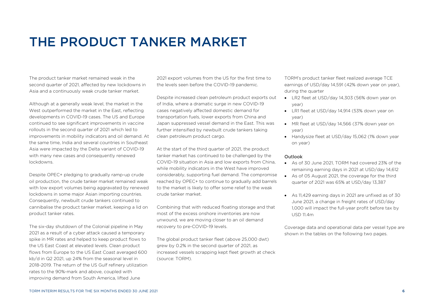## THE PRODUCT TANKER MARKET

The product tanker market remained weak in the second quarter of 2021, affected by new lockdowns in Asia and a continuously weak crude tanker market.

Although at a generally weak level, the market in the West outperformed the market in the East, reflecting developments in COVID-19 cases. The US and Europe continued to see significant improvements in vaccine rollouts in the second quarter of 2021 which led to improvements in mobility indicators and oil demand. At the same time, India and several countries in Southeast Asia were impacted by the Delta variant of COVID-19 with many new cases and consequently renewed lockdowns.

Despite OPEC+ pledging to gradually ramp-up crude oil production, the crude tanker market remained weak with low export volumes being aggravated by renewed lockdowns in some major Asian importing countries. Consequently, newbuilt crude tankers continued to cannibalise the product tanker market, keeping a lid on product tanker rates.

The six-day shutdown of the Colonial pipeline in May 2021 as a result of a cyber attack caused a temporary spike in MR rates and helped to keep product flows to the US East Coast at elevated levels. Clean product flows from Europe to the US East Coast averaged 600 kb/d in Q2 2021, up 24% from the seasonal level in 2018-2019. The return of the US Gulf refinery utilization rates to the 90%-mark and above, coupled with improving demand from South America, lifted June

2021 export volumes from the US for the first time to the levels seen before the COVID-19 pandemic.

Despite increased clean petroleum product exports out of India, where a dramatic surge in new COVID-19 cases negatively affected domestic demand for transportation fuels, lower exports from China and Japan suppressed vessel demand in the East. This was further intensified by newbuilt crude tankers taking clean petroleum product cargo.

At the start of the third quarter of 2021, the product tanker market has continued to be challenged by the COVID-19 situation in Asia and low exports from China, while mobility indicators in the West have improved considerably, supporting fuel demand. The compromise reached by OPEC+ to continue to gradually add barrels to the market is likely to offer some relief to the weak crude tanker market.

Combining that with reduced floating storage and that most of the excess onshore inventories are now unwound, we are moving closer to an oil demand recovery to pre-COVID-19 levels.

The global product tanker fleet (above 25,000 dwt) grew by 0.2% in the second quarter of 2021, as increased vessels scrapping kept fleet growth at check (source: TORM).

TORM's product tanker fleet realized average TCE earnings of USD/day 14,591 (42% down year on year), during the quarter

- LR2 fleet at USD/day 14,303 (56% down year on year)
- LR1 fleet at USD/day 14,914 (53% down year on year)
- MR fleet at USD/day 14,566 (37% down year on year)
- Handysize fleet at USD/day 15,062 (1% down year on year)

### Outlook

- As of 30 June 2021, TORM had covered 23% of the remaining earning days in 2021 at USD/day 14,612
- As of 05 August 2021, the coverage for the third quarter of 2021 was 65% at USD/day 13,387
- As 11,429 earning days in 2021 are unfixed as of 30 June 2021, a change in freight rates of USD/day 1,000 will impact the full-year profit before tax by USD 11.4m

Coverage data and operational data per vessel type are shown in the tables on the following two pages.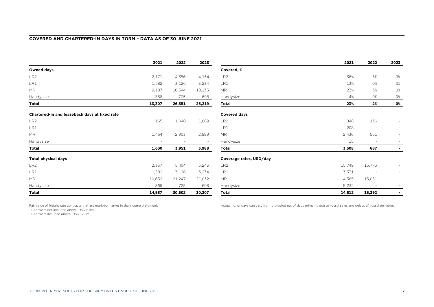### **COVERED AND CHARTERED-IN DAYS IN TORM – DATA AS OF 30 JUNE 2021**

|                                               | 2021                     | 2022                     | 2023                     |                         | 2021   | 2022                     | 2023           |
|-----------------------------------------------|--------------------------|--------------------------|--------------------------|-------------------------|--------|--------------------------|----------------|
| <b>Owned days</b>                             |                          |                          |                          | Covered, %              |        |                          |                |
| LR <sub>2</sub>                               | 2,171                    | 4,356                    | 4,154                    | LR <sub>2</sub>         | 36%    | 3%                       | 0%             |
| LR1                                           | 1,582                    | 3,126                    | 3,234                    | LR1                     | 13%    | 0%                       | <b>O%</b>      |
| <b>MR</b>                                     | 9,187                    | 18,344                   | 18,133                   | <b>MR</b>               | 23%    | 3%                       | <b>O%</b>      |
| Handysize                                     | 366                      | 725                      | 698                      | Handysize               | 4%     | 0%                       | 0%             |
| Total                                         | 13,307                   | 26,551                   | 26,219                   | Total                   | 23%    | 2%                       | 0%             |
| Chartered-in and leaseback days at fixed rate |                          |                          |                          | <b>Covered days</b>     |        |                          |                |
| LR <sub>2</sub>                               | 165                      | 1,048                    | 1,089                    | LR <sub>2</sub>         | 848    | 136                      |                |
| LR1                                           | $\overline{\phantom{a}}$ | $\overline{\phantom{a}}$ | $\overline{\phantom{a}}$ | LR1                     | 208    | $\overline{\phantom{a}}$ | $\sim$         |
| <b>MR</b>                                     | 1,464                    | 2,903                    | 2,899                    | <b>MR</b>               | 2,436  | 551                      |                |
| Handysize                                     | $\overline{\phantom{a}}$ |                          | $\sim$                   | Handysize               | 15     | $\overline{\phantom{a}}$ |                |
| Total                                         | 1,630                    | 3,951                    | 3,988                    | Total                   | 3,508  | 687                      |                |
| <b>Total physical days</b>                    |                          |                          |                          | Coverage rates, USD/day |        |                          |                |
| LR <sub>2</sub>                               | 2,337                    | 5,404                    | 5,243                    | LR <sub>2</sub>         | 15,749 | 16,775                   |                |
| LR1                                           | 1,582                    | 3,126                    | 3,234                    | LR1                     | 13,331 |                          |                |
| <b>MR</b>                                     | 10,652                   | 21,247                   | 21,032                   | <b>MR</b>               | 14,385 | 15,051                   |                |
| Handysize                                     | 366                      | 725                      | 698                      | Handysize               | 5,232  | $\sim$                   |                |
| Total                                         | 14,937                   | 30,502                   | 30,207                   | <b>Total</b>            | 14,612 | 15,392                   | $\blacksquare$ |

Fair value of freight rate contracts that are mark-to-market in the income statement:

- Contracts not included above: USD 5.8m

- Contracts included above: USD –2.8m

Actual no. of days can vary from projected no. of days primarily due to vessel sales and delays of vessel deliveries.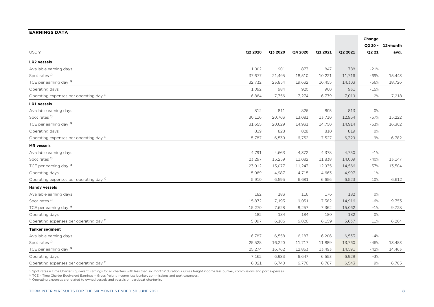| <b>EARNINGS DATA</b>                    |         |         |         |         |         |         |          |
|-----------------------------------------|---------|---------|---------|---------|---------|---------|----------|
|                                         |         |         |         |         |         | Change  |          |
|                                         |         |         |         |         |         | Q2 20 - | 12-month |
| <b>USDm</b>                             | Q2 2020 | Q3 2020 | Q4 2020 | Q1 2021 | Q2 2021 | Q2 21   | avg.     |
| <b>LR2</b> vessels                      |         |         |         |         |         |         |          |
| Available earning days                  | 1,002   | 901     | 873     | 847     | 788     | $-21%$  |          |
| Spot rates <sup>1)</sup>                | 37,677  | 21,495  | 18,510  | 10,221  | 11,716  | $-69%$  | 15,443   |
| TCE per earning day <sup>2)</sup>       | 32,732  | 23,854  | 19,632  | 16,455  | 14,303  | -56%    | 18,726   |
| Operating days                          | 1,092   | 984     | 920     | 900     | 931     | $-15%$  |          |
| Operating expenses per operating day 3) | 6,864   | 7,756   | 7,274   | 6,779   | 7,019   | 2%      | 7,218    |
| <b>LR1</b> vessels                      |         |         |         |         |         |         |          |
| Available earning days                  | 812     | 811     | 826     | 805     | 813     | 0%      |          |
| Spot rates <sup>1)</sup>                | 30,116  | 20,703  | 13,081  | 13,710  | 12,954  | $-57%$  | 15,222   |
| TCE per earning day <sup>2)</sup>       | 31,655  | 20,629  | 14,931  | 14,750  | 14,914  | $-53%$  | 16,302   |
| Operating days                          | 819     | 828     | 828     | 810     | 819     | 0%      |          |
| Operating expenses per operating day 3) | 5,787   | 6,530   | 6,752   | 7,527   | 6,329   | 9%      | 6,782    |
| <b>MR</b> vessels                       |         |         |         |         |         |         |          |
| Available earning days                  | 4,791   | 4,663   | 4,372   | 4,378   | 4,750   | $-1%$   |          |
| Spot rates <sup>1)</sup>                | 23,297  | 15,259  | 11,082  | 11,838  | 14,009  | $-40%$  | 13,147   |
| TCE per earning day <sup>2)</sup>       | 23,012  | 15,077  | 11,243  | 12,935  | 14,566  | $-37%$  | 13,504   |
| Operating days                          | 5,069   | 4,987   | 4,715   | 4,663   | 4,997   | $-1%$   |          |
| Operating expenses per operating day 3) | 5,910   | 6,595   | 6,681   | 6,656   | 6,523   | 10%     | 6,612    |
| <b>Handy vessels</b>                    |         |         |         |         |         |         |          |
| Available earning days                  | 182     | 183     | 116     | 176     | 182     | 0%      |          |
| Spot rates <sup>1)</sup>                | 15,872  | 7,193   | 9,051   | 7,382   | 14,916  | $-6%$   | 9,753    |
| TCE per earning day <sup>2)</sup>       | 15,270  | 7,628   | 8,257   | 7,362   | 15,062  | $-1%$   | 9,728    |
| Operating days                          | 182     | 184     | 184     | 180     | 182     | 0%      |          |
| Operating expenses per operating day 3) | 5,097   | 6,186   | 6,826   | 6,159   | 5,637   | 11%     | 6,204    |
| <b>Tanker segment</b>                   |         |         |         |         |         |         |          |
| Available earning days                  | 6,787   | 6,558   | 6,187   | 6,206   | 6,533   | $-4%$   |          |
| Spot rates <sup>1)</sup>                | 25,528  | 16,220  | 11,717  | 11,889  | 13,760  | $-46%$  | 13,483   |
| TCE per earning day <sup>2)</sup>       | 25,274  | 16,762  | 12,863  | 13,493  | 14,591  | $-42%$  | 14,463   |
| Operating days                          | 7,162   | 6,983   | 6,647   | 6,553   | 6,929   | $-3%$   |          |
| Operating expenses per operating day 3) | 6,021   | 6,740   | 6,776   | 6,767   | 6,543   | 9%      | 6,705    |

<sup>1)</sup> Spot rates = Time Charter Equivalent Earnings for all charters with less than six months' duration = Gross freight income less bunker, commissions and port expenses.

<sup>2)</sup> TCE = Time Charter Equivalent Earnings = Gross freight income less bunker, commissions and port expenses.

<sup>3</sup> Operating expenses are related to owned vessels and vessels on bareboat charter-in.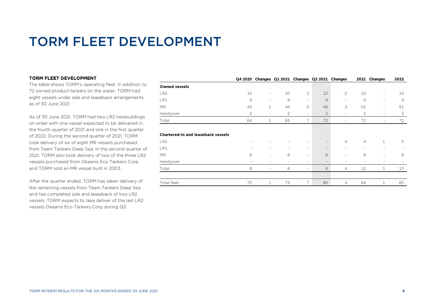## TORM FLEET DEVELOPMENT

### TORM FLEET DEVELOPMENT

The table shows TORM's operating fleet. In addition to 72 owned product tankers on the water, TORM had eight vessels under sale and leaseback arrangements as of 30 June 2021.

As of 30 June 2021, TORM had two LR2 newbuildings on order with one vessel expected to be delivered in the fourth quarter of 2021 and one in the first quarter of 2022. During the second quarter of 2021, TORM took delivery of six of eight MR vessels purchased from Team Tankers Deep Sea. In the second quarter of 2021, TORM also took delivery of two of the three LR2 vessels purchased from Okeanis Eco Tankers Corp and TORM sold an MR vessel built in 2003.

After the quarter ended, TORM has taken delivery of the remaining vessels from Team Tankers Deep Sea and has completed sale and leaseback of two LR2 vessels. TORM expects to take deliver of the last LR2 vessels Okeanis Eco Tankers Corp during Q3.

|                                           | Q4 2020                  |                          |    | Changes Q1 2021 Changes Q2 2021 Changes |                          |                          |                | 2021 Changes | 2022                     |
|-------------------------------------------|--------------------------|--------------------------|----|-----------------------------------------|--------------------------|--------------------------|----------------|--------------|--------------------------|
| <b>Owned vessels</b>                      |                          |                          |    |                                         |                          |                          |                |              |                          |
| LR <sub>2</sub>                           | 10                       | $\overline{\phantom{a}}$ | 10 | 2                                       | 12                       | $-2$                     | 10             | ٠.           | 10                       |
| LR1                                       | 9                        | $\overline{\phantom{a}}$ | 9  | $\sim$                                  | $\overline{9}$           | $\overline{\phantom{a}}$ | 9              | Ξ.           | 9                        |
| <b>MR</b>                                 | 43                       | $\mathbf{1}$             | 44 | 5                                       | 49                       | $\overline{2}$           | 51             | ٠.           | 51                       |
| Handysize                                 | $\overline{2}$           | -                        | 2  | $\sim$                                  | $\overline{2}$           | $\overline{\phantom{a}}$ | 2              | ٠.           | 2                        |
| Total                                     | 64                       | 1                        | 65 | 7                                       | 72                       | $\overline{\phantom{a}}$ | 72             | ٠.           | 72                       |
|                                           |                          |                          |    |                                         |                          |                          |                |              |                          |
| <b>Chartered-in and leaseback vessels</b> |                          |                          |    |                                         |                          |                          |                |              |                          |
| LR <sub>2</sub>                           | $\overline{\phantom{a}}$ |                          | ۰  | ٠                                       | $\overline{\phantom{a}}$ | $\overline{4}$           | $\overline{4}$ | $\mathbf{1}$ | 5                        |
| LR1                                       |                          | $\overline{\phantom{a}}$ | ٠  | $\sim$                                  | $\overline{\phantom{a}}$ | $\overline{\phantom{a}}$ | ٠              | ٠.           | $\overline{\phantom{a}}$ |
| <b>MR</b>                                 | 8                        | $\overline{\phantom{a}}$ | 8  | $\sim$                                  | 8                        | $\overline{\phantom{a}}$ | 8              | ۰            | 8                        |
| Handysize                                 | ۰                        | $\overline{\phantom{a}}$ | ٠  | $\sim$                                  | $\overline{\phantom{a}}$ | $\overline{\phantom{a}}$ | ٠              | ۰            |                          |
| Total                                     | 8                        | ٠                        | 8  | $\sim$                                  | 8                        | $\overline{4}$           | 12             | $\mathbf{1}$ | 13                       |
|                                           |                          |                          |    |                                         |                          |                          |                |              |                          |
| Total fleet                               | 72                       | $\mathbf{1}$             | 73 | 7                                       | 80                       | $\overline{4}$           | 84             | 1            | 85                       |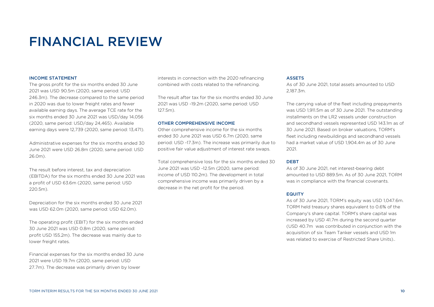## FINANCIAL REVIEW

#### INCOME STATEMENT

The gross profit for the six months ended 30 June 2021 was USD 90.5m (2020, same period: USD 246.3m). The decrease compared to the same period in 2020 was due to lower freight rates and fewer available earning days. The average TCE rate for the six months ended 30 June 2021 was USD/day 14,056 (2020, same period: USD/day 24,465). Available earning days were 12,739 (2020, same period: 13,471).

Administrative expenses for the six months ended 30 June 2021 were USD 26.8m (2020, same period: USD 26.0m).

The result before interest, tax and depreciation (EBITDA) for the six months ended 30 June 2021 was a profit of USD 63.6m (2020, same period: USD 220.5m).

Depreciation for the six months ended 30 June 2021 was USD 62.0m (2020, same period: USD 62.0m).

The operating profit (EBIT) for the six months ended 30 June 2021 was USD 0.8m (2020, same period: profit USD 155.2m). The decrease was mainly due to lower freight rates.

Financial expenses for the six months ended 30 June 2021 were USD 19.7m (2020, same period: USD 27.7m). The decrease was primarily driven by lower

interests in connection with the 2020 refinancing combined with costs related to the refinancing.

The result after tax for the six months ended 30 June 2021 was USD -19.2m (2020, same period: USD 127.5m).

#### OTHER COMPREHENSIVE INCOME

Other comprehensive income for the six months ended 30 June 2021 was USD 6.7m (2020, same period: USD -17.3m). The increase was primarily due to positive fair value adjustment of interest rate swaps.

Total comprehensive loss for the six months ended 30 June 2021 was USD -12.5m (2020, same period: income of USD 110.2m). The development in total comprehensive income was primarily driven by a decrease in the net profit for the period.

#### **ASSETS**

As of 30 June 2021, total assets amounted to USD 2,187.3m.

The carrying value of the fleet including prepayments was USD 1,911.5m as of 30 June 2021. The outstanding installments on the LR2 vessels under construction and secondhand vessels represented USD 143.1m as of 30 June 2021. Based on broker valuations, TORM's fleet including newbuildings and secondhand vessels had a market value of USD 1,904.4m as of 30 June 2021.

#### DEBT

As of 30 June 2021, net interest-bearing debt amounted to USD 889.5m. As of 30 June 2021, TORM was in compliance with the financial covenants.

### EQUITY

As of 30 June 2021, TORM's equity was USD 1,047.6m. TORM held treasury shares equivalent to 0.6% of the Company's share capital. TORM's share capital was increased by USD 41.7m during the second quarter (USD 40.7m was contributed in conjunction with the acquisition of six Team Tanker vessels and USD 1m was related to exercise of Restricted Share Units)..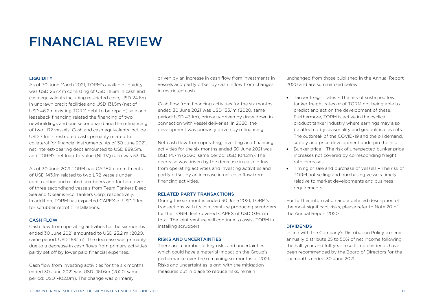## FINANCIAL REVIEW

### **LIQUIDITY**

As of 30 June March 2021, TORM's available liquidity was USD 267.4m consisting of USD 111.3m in cash and cash equivalents including restricted cash, USD 24.6m in undrawn credit facilities and USD 131.5m (net of USD 46.2m existing TORM debt to be repaid) sale and leaseback financing related the financing of two newbuildings and one secondhand and the refinancing of two LR2 vessels. Cash and cash equivalents include USD 7.1m in restricted cash, primarily related to collateral for financial instruments. As of 30 June 2021, net interest-bearing debt amounted to USD 889.5m, and TORM's net loan-to-value (NLTV) ratio was 53.9%.

As of 30 June 2021 TORM had CAPEX commitments of USD 143.1m related to two LR2 vessels under construction and related scrubbers and for take over of three secondhand vessels from Team Tankers Deep Sea and Okeanis Eco Tankers Corp, respectively. In addition, TORM has expected CAPEX of USD 2.1m for scrubber retrofit installations.

#### CASH FLOW

Cash flow from operating activities for the six months ended 30 June 2021 amounted to USD 23.2 m (2020, same period: USD 163.1m). The decrease was primarily due to a decrease in cash flows from primary activities partly set off by lower paid financial expenses.

Cash flow from investing activities for the six months ended 30 June 2021 was USD -161.6m (2020, same period: USD –102.0m). The change was primarily

driven by an increase in cash flow from investments in vessels and partly offset by cash inflow from changes in restricted cash.

Cash flow from financing activities for the six months ended 30 June 2021 was USD 153.1m (2020, same period: USD 43.1m), primarily driven by draw down in connection with vessel deliveries. In 2020, the development was primarily driven by refinancing.

Net cash flow from operating, investing and financing activities for the six months ended 30 June 2021 was USD 14.7m (2020, same period: USD 104.2m). The decrease was driven by the decrease in cash inflow from operating activities and investing activities and partly offset by an increase in net cash flow from financing activities.

### RELATED PARTY TRANSACTIONS

During the six months ended 30 June 2021, TORM's transactions with its joint venture producing scrubbers for the TORM fleet covered CAPEX of USD 0.9m in total. The joint venture will continue to assist TORM in installing scrubbers.

#### RISKS AND UNCERTAINTIES

There are a number of key risks and uncertainties which could have a material impact on the Group's performance over the remaining six months of 2021. Risks and uncertainties, along with the mitigation measures put in place to reduce risks, remain

unchanged from those published in the Annual Report 2020 and are summarized below:

- Tanker freight rates The risk of sustained low tanker freight rates or of TORM not being able to predict and act on the development of these. Furthermore, TORM is active in the cyclical product tanker industry where earnings may also be affected by seasonality and geopolitical events. The outbreak of the COVID-19 and the oil demand, supply and price development underpin the risk
- Bunker price The risk of unexpected bunker price increases not covered by corresponding freight rate increases
- Timing of sale and purchase of vessels The risk of TORM not selling and purchasing vessels timely relative to market developments and business requirements

For further information and a detailed description of the most significant risks, please refer to Note 20 of the Annual Report 2020.

### DIVIDENDS

In line with the Company's Distribution Policy to semiannually distribute 25 to 50% of net income following the half-year and full-year results, no dividends have been recommended by the Board of Directors for the six months ended 30 June 2021.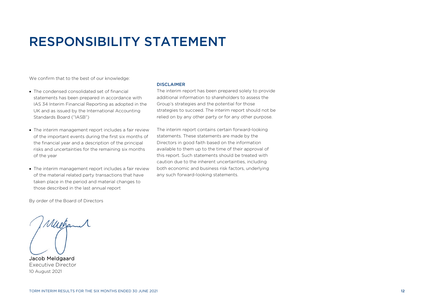## RESPONSIBILITY STATEMENT

We confirm that to the best of our knowledge:

- The condensed consolidated set of financial statements has been prepared in accordance with IAS 34 Interim Financial Reporting as adopted in the UK and as issued by the International Accounting Standards Board ("IASB")
- The interim management report includes a fair review of the important events during the first six months of the financial year and a description of the principal risks and uncertainties for the remaining six months of the year
- The interim management report includes a fair review of the material related party transactions that have taken place in the period and material changes to those described in the last annual report

#### DISCLAIMER

The interim report has been prepared solely to provide additional information to shareholders to assess the Group's strategies and the potential for those strategies to succeed. The interim report should not be relied on by any other party or for any other purpose.

The interim report contains certain forward-looking statements. These statements are made by the Directors in good faith based on the information available to them up to the time of their approval of this report. Such statements should be treated with caution due to the inherent uncertainties, including both economic and business risk factors, underlying any such forward-looking statements.

By order of the Board of Directors

Muchamil ľ

Jacob Meldgaard Executive Director 10 August 2021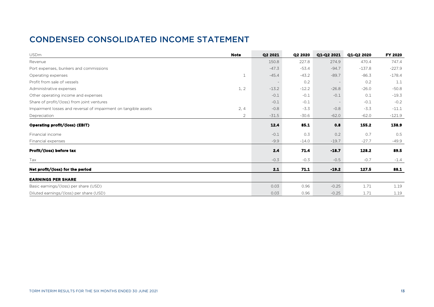### CONDENSED CONSOLIDATED INCOME STATEMENT

| <b>USDm</b>                                                     | <b>Note</b>    | Q2 2021 | Q2 2020 | Q1-Q2 2021 | Q1-Q2 2020 | FY 2020  |
|-----------------------------------------------------------------|----------------|---------|---------|------------|------------|----------|
| Revenue                                                         |                | 150.8   | 227.8   | 274.9      | 470.4      | 747.4    |
| Port expenses, bunkers and commissions                          |                | $-47.3$ | $-53.4$ | $-94.7$    | $-137.8$   | $-227.9$ |
| Operating expenses                                              | 1              | $-45.4$ | $-43.2$ | $-89.7$    | $-86.3$    | $-178.4$ |
| Profit from sale of vessels                                     |                |         | 0.2     |            | 0.2        | 1.1      |
| Administrative expenses                                         | 1, 2           | $-13.2$ | $-12.2$ | $-26.8$    | $-26.0$    | $-50.8$  |
| Other operating income and expenses                             |                | $-0.1$  | $-0.1$  | $-0.1$     | 0.1        | $-19.3$  |
| Share of profit/(loss) from joint ventures                      |                | $-0.1$  | $-0.1$  |            | $-0.1$     | $-0.2$   |
| Impairment losses and reversal of impairment on tangible assets | 2, 4           | $-0.8$  | $-3.3$  | $-0.8$     | $-3.3$     | $-11.1$  |
| Depreciation                                                    | $\overline{2}$ | $-31.5$ | $-30.6$ | $-62.0$    | $-62.0$    | $-121.9$ |
| Operating profit/(loss) (EBIT)                                  |                | 12.4    | 85.1    | 0.8        | 155.2      | 138.9    |
| Financial income                                                |                | $-0.1$  | 0.3     | 0.2        | 0.7        | 0.5      |
| Financial expenses                                              |                | $-9.9$  | $-14.0$ | $-19.7$    | $-27.7$    | $-49.9$  |
| Profit/(loss) before tax                                        |                | 2.4     | 71.4    | $-18.7$    | 128.2      | 89.5     |
| Tax                                                             |                | $-0.3$  | $-0.3$  | $-0.5$     | $-0.7$     | $-1.4$   |
| Net profit/(loss) for the period                                |                | 2.1     | 71.1    | $-19.2$    | 127.5      | 88.1     |
| <b>EARNINGS PER SHARE</b>                                       |                |         |         |            |            |          |
| Basic earnings/(loss) per share (USD)                           |                | 0.03    | 0.96    | $-0.25$    | 1.71       | 1.19     |
| Diluted earnings/(loss) per share (USD)                         |                | 0.03    | 0.96    | $-0.25$    | 1.71       | 1.19     |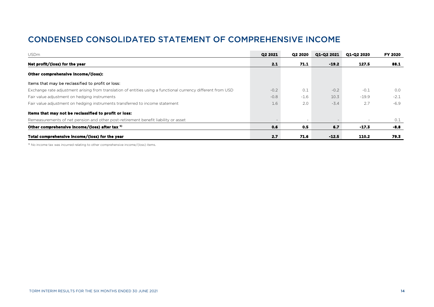### CONDENSED CONSOLIDATED STATEMENT OF COMPREHENSIVE INCOME

| <b>USDm</b>                                                                                                  | Q2 2021 | Q2 2020                  | Q1-Q2 2021 | Q1-Q2 2020 | FY 2020 |
|--------------------------------------------------------------------------------------------------------------|---------|--------------------------|------------|------------|---------|
| Net profit/(loss) for the year                                                                               | 2.1     | 71.1                     | $-19.2$    | 127.5      | 88.1    |
| Other comprehensive income/(loss):                                                                           |         |                          |            |            |         |
| Items that may be reclassified to profit or loss:                                                            |         |                          |            |            |         |
| Exchange rate adjustment arising from translation of entities using a functional currency different from USD | $-0.2$  | 0.1                      | $-0.2$     | $-0.1$     | 0.0     |
| Fair value adjustment on hedging instruments                                                                 | $-0.8$  | $-1.6$                   | 10.3       | $-19.9$    | $-2.1$  |
| Fair value adjustment on hedging instruments transferred to income statement                                 | 1.6     | $2.0^{\circ}$            | $-3.4$     | 2.7        | -6.9    |
| Items that may not be reclassified to profit or loss:                                                        |         |                          |            |            |         |
| Remeasurements of net pension and other post-retirement benefit liability or asset                           |         | $\overline{\phantom{a}}$ |            |            | 0.1     |
| Other comprehensive income/(loss) after tax <sup>1)</sup>                                                    | 0.6     | 0.5                      | 6.7        | $-17.3$    | $-8.8$  |
| Total comprehensive income/(loss) for the year                                                               | 2.7     | 71.6                     | $-12.5$    | 110.2      | 79.3    |

<sup>1)</sup> No income tax was incurred relating to other comprehensive income/(loss) items.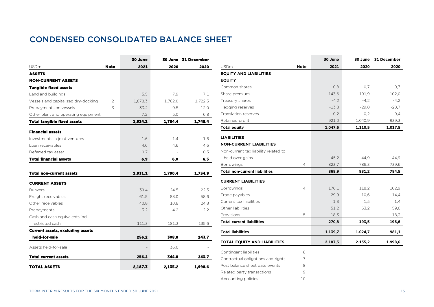### CONDENSED CONSOLIDATED BALANCE SHEET

|                                                          |                | 30 June |         | 30 June 31 December |                                      |                | 30 June |         | 30 June 31 December |
|----------------------------------------------------------|----------------|---------|---------|---------------------|--------------------------------------|----------------|---------|---------|---------------------|
| <b>USDm</b>                                              | Note           | 2021    | 2020    | 2020                | <b>USDm</b>                          | <b>Note</b>    | 2021    | 2020    | 2020                |
| <b>ASSETS</b>                                            |                |         |         |                     | <b>EQUITY AND LIABILITIES</b>        |                |         |         |                     |
| <b>NON-CURRENT ASSETS</b>                                |                |         |         |                     | <b>EQUITY</b>                        |                |         |         |                     |
| <b>Tangible fixed assets</b>                             |                |         |         |                     | Common shares                        |                | 0.8     | 0.7     | 0,7                 |
| Land and buildings                                       |                | 5.5     | 7.9     | 7.1                 | Share premium                        |                | 143,6   | 101,9   | 102,0               |
| Vessels and capitalized dry-docking                      | $\overline{2}$ | 1,878.3 | 1,762.0 | 1,722.5             | Treasury shares                      |                | $-4,2$  | $-4,2$  | $-4,2$              |
| Prepayments on vessels                                   | 3              | 33.2    | 9.5     | 12.0                | Hedging reserves                     |                | $-13,8$ | $-29,0$ | $-20,7$             |
| Other plant and operating equipment                      |                | 7.2     | 5.0     | 6.8                 | Translation reserves                 |                | 0,2     | 0,2     | 0,4                 |
| <b>Total tangible fixed assets</b>                       |                | 1,924.2 | 1,784.4 | 1,748.4             | Retained profit                      |                | 921,0   | 1.040,9 | 939,3               |
|                                                          |                |         |         |                     | <b>Total equity</b>                  |                | 1.047,6 | 1.110,5 | 1.017,5             |
| <b>Financial assets</b><br>Investments in joint ventures |                | 1.6     | 1.4     | 1.6                 | <b>LIABILITIES</b>                   |                |         |         |                     |
| Loan receivables                                         |                | 4.6     | 4.6     | 4.6                 | <b>NON-CURRENT LIABILITIES</b>       |                |         |         |                     |
| Deferred tax asset                                       |                | 0.7     |         | 0.3                 | Non-current tax liability related to |                |         |         |                     |
| <b>Total financial assets</b>                            |                | 6.9     | 6.0     | 6.5                 | held over gains                      |                | 45,2    | 44,9    | 44,9                |
|                                                          |                |         |         |                     | <b>Borrowings</b>                    | $\overline{4}$ | 823,7   | 786,3   | 739,6               |
| <b>Total non-current assets</b>                          |                | 1,931.1 | 1,790.4 | 1,754.9             | <b>Total non-current liabilities</b> |                | 868,9   | 831,2   | 784,5               |
| <b>CURRENT ASSETS</b>                                    |                |         |         |                     | <b>CURRENT LIABILITIES</b>           |                |         |         |                     |
| <b>Bunkers</b>                                           |                | 39.4    | 24.5    | 22.5                | <b>Borrowings</b>                    | $\overline{4}$ | 170,1   | 118,2   | 102,9               |
| Freight receivables                                      |                | 61.5    | 88.0    | 58.6                | Trade payables                       |                | 29,9    | 10,6    | 14,4                |
| Other receivables                                        |                | 40.8    | 10.8    | 24.8                | Current tax liabilities              |                | 1,3     | 1,5     | 1,4                 |
| Prepayments                                              |                | 3.2     | 4.2     | 2.2                 | Other liabilities                    |                | 51,2    | 63,2    | 59,6                |
| Cash and cash equivalents incl.                          |                |         |         |                     | Provisions                           | 5              | 18,3    |         | 18,3                |
| restricted cash                                          |                | 111.3   | 181.3   | 135.6               | <b>Total current liabilities</b>     |                | 270,8   | 193,5   | 196,6               |
| <b>Current assets, excluding assets</b>                  |                |         |         |                     | <b>Total liabilities</b>             |                | 1.139,7 | 1.024,7 | 981,1               |
| held-for-sale                                            |                | 256.2   | 308.8   | 243.7               |                                      |                |         |         |                     |
| Assets held-for-sale                                     |                |         | 36.0    |                     | <b>TOTAL EQUITY AND LIABILITIES</b>  |                | 2.187,3 | 2.135,2 | 1.998,6             |
| <b>Total current assets</b>                              |                | 256.2   | 344.8   | 243.7               | Contingent liabilities               | 6              |         |         |                     |
|                                                          |                |         |         |                     | Contractual obligations and rights   | 7              |         |         |                     |
| <b>TOTAL ASSETS</b>                                      |                | 2,187.3 | 2,135.2 | 1,998.6             | Post balance sheet date events       | 8              |         |         |                     |
|                                                          |                |         |         |                     | Related party transactions           | 9              |         |         |                     |

Accounting policies **10 10**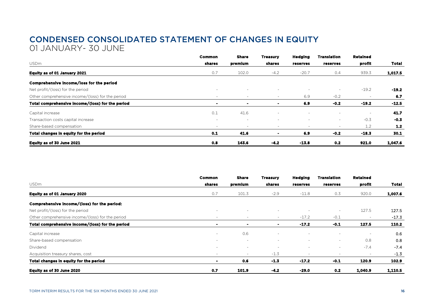### CONDENSED CONSOLIDATED STATEMENT OF CHANGES IN EQUITY 01 JANUARY- 30 JUNE

|                                                  | Common         | <b>Share</b>   | Treasury                 | <b>Hedging</b>           | <b>Translation</b>       | <b>Retained</b> |              |
|--------------------------------------------------|----------------|----------------|--------------------------|--------------------------|--------------------------|-----------------|--------------|
| <b>USDm</b>                                      | shares         | premium        | shares                   | reserves                 | reserves                 | profit          | <b>Total</b> |
| Equity as of 01 January 2021                     | 0.7            | 102.0          | $-4.2$                   | $-20.7$                  | 0.4                      | 939.3           | 1,017.5      |
| Comprehensive income/loss for the period         |                |                |                          |                          |                          |                 |              |
| Net profit/(loss) for the period                 | $\sim$         | <b>1979</b>    | $\overline{\phantom{a}}$ |                          | $\overline{\phantom{a}}$ | $-19.2$         | $-19.2$      |
| Other comprehensive income/(loss) for the period | $\sim$         | $\sim$         | ٠                        | 6.9                      | $-0.2$                   |                 | 6.7          |
| Total comprehensive income/(loss) for the period | $\blacksquare$ | $\blacksquare$ |                          | 6.9                      | $-0.2$                   | $-19.2$         | $-12.5$      |
| Capital increase                                 | 0.1            | 41.6           | $\overline{\phantom{a}}$ |                          |                          | $\sim$          | 41.7         |
| Transaction costs capital increase               | $\sim$         | $\sim$         | $\overline{\phantom{a}}$ | $\overline{\phantom{a}}$ | $\sim$                   | $-0.3$          | $-0.3$       |
| Share-based compensation                         | ۰              |                | $\overline{\phantom{a}}$ | $\overline{\phantom{a}}$ | $\overline{\phantom{a}}$ | 1.2             | $1.2$        |
| Total changes in equity for the period           | 0.1            | 41.6           | $\overline{\phantom{a}}$ | 6.9                      | $-0.2$                   | $-18.3$         | 30.1         |
| Equity as of 30 June 2021                        | 0.8            | 143.6          | $-4.2$                   | $-13.8$                  | 0.2                      | 921.0           | 1,047.6      |

|                                                  | <b>Common</b>  | Share                    | <b>Treasury</b>          | <b>Hedging</b>           | Translation              | <b>Retained</b>          |              |
|--------------------------------------------------|----------------|--------------------------|--------------------------|--------------------------|--------------------------|--------------------------|--------------|
| <b>USDm</b>                                      | shares         | premium                  | shares                   | reserves                 | reserves                 | profit                   | <b>Total</b> |
| Equity as of 01 January 2020                     | 0.7            | 101.3                    | $-2.9$                   | $-11.8$                  | 0.3                      | 920.0                    | 1,007.6      |
| Comprehensive income/(loss) for the period:      |                |                          |                          |                          |                          |                          |              |
| Net profit/(loss) for the period                 | ۰              | $\sim$                   | ٠                        | $\overline{\phantom{a}}$ | $\overline{\phantom{a}}$ | 127.5                    | 127.5        |
| Other comprehensive income/(loss) for the period | $\sim$         | $\overline{\phantom{a}}$ | $\overline{\phantom{a}}$ | $-17.2$                  | $-0.1$                   |                          | $-17.3$      |
| Total comprehensive income/(loss) for the period |                | ۰                        | ٠                        | $-17.2$                  | -0.1                     | 127.5                    | 110.2        |
| Capital increase                                 | $\sim$         | 0.6                      | $\overline{\phantom{a}}$ |                          | ۰                        |                          | 0.6          |
| Share-based compensation                         | ۰              | $\sim$                   | $\overline{\phantom{a}}$ | $\sim$                   | $\overline{\phantom{a}}$ | 0.8                      | 0.8          |
| Dividend                                         | ۰              | $\sim$                   | $\overline{\phantom{a}}$ | $\overline{\phantom{a}}$ | $\overline{\phantom{a}}$ | $-7.4$                   | $-7.4$       |
| Acquisition treasury shares, cost                | ۰              | $\sim$                   | $-1.3$                   | $\overline{\phantom{a}}$ |                          | $\overline{\phantom{a}}$ | $-1.3$       |
| Total changes in equity for the period           | $\blacksquare$ | 0.6                      | $-1.3$                   | $-17.2$                  | $-0.1$                   | 120.9                    | 102.9        |
| Equity as of 30 June 2020                        | 0.7            | 101.9                    | $-4.2$                   | $-29.0$                  | 0.2                      | 1,040.9                  | 1,110.5      |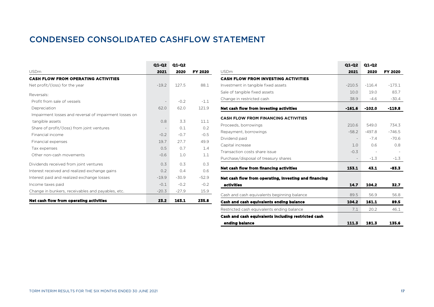### CONDENSED CONSOLIDATED CASHFLOW STATEMENT

|                                                        | Q1-Q2         | Q1-Q2   |                |
|--------------------------------------------------------|---------------|---------|----------------|
| <b>USDm</b>                                            | 2021          | 2020    | <b>FY 2020</b> |
| <b>CASH FLOW FROM OPERATING ACTIVITIES</b>             |               |         |                |
| Net profit/(loss) for the year                         | $-19.2$       | 127.5   | 88.1           |
| Reversals:                                             |               |         |                |
| Profit from sale of vessels                            |               | $-0.2$  | $-1.1$         |
| Depreciation                                           | 62.0          | 62.0    | 121.9          |
| Impairment losses and reversal of impairment losses on |               |         |                |
| tangible assets                                        | 0.8           | 3.3     | 11.1           |
| Share of profit/(loss) from joint ventures             |               | 0.1     | 0.2            |
| Financial income                                       | $-0.2$        | $-0.7$  | $-0.5$         |
| Financial expenses                                     | 19.7          | 27.7    | 49.9           |
| Tax expenses                                           | 0.5           | 0.7     | 1.4            |
| Other non-cash movements                               | $-0.6$        | 1.0     | 1.1            |
| Dividends received from joint ventures                 | 0.3           | 0.3     | 0.3            |
| Interest received and realized exchange gains          | $0.2^{\circ}$ | 0.4     | 0.6            |
| Interest paid and realized exchange losses             | $-19.9$       | $-30.9$ | $-52.9$        |
| Income taxes paid                                      | $-0.1$        | $-0.2$  | $-0.2$         |
| Change in bunkers, receivables and payables, etc.      | $-20.3$       | $-27.9$ | 15.9           |
| Net cash flow from operating activities                | 23.2          | 163.1   | 235.8          |

|                                                       | Q1-Q2    | Q1-Q2    |          |
|-------------------------------------------------------|----------|----------|----------|
| <b>USDm</b>                                           | 2021     | 2020     | FY 2020  |
| <b>CASH FLOW FROM INVESTING ACTIVITIES</b>            |          |          |          |
| Investment in tangible fixed assets                   | $-210.5$ | $-116.4$ | $-173.1$ |
| Sale of tangible fixed assets                         | 10.0     | 19.0     | 83.7     |
| Change in restricted cash                             | 38.9     | $-4.6$   | $-30.4$  |
| Net cash flow from investing activities               | $-161.6$ | $-102.0$ | $-119.8$ |
| <b>CASH FLOW FROM FINANCING ACTIVITIES</b>            |          |          |          |
| Proceeds, borrowings                                  | 210.6    | 549.0    | 734.3    |
| Repayment, borrowings                                 | $-58.2$  | $-497.8$ | $-746.5$ |
| Dividend paid                                         |          | $-7.4$   | $-70.6$  |
| Capital increase                                      | 1.0      | 0.6      | 0.8      |
| Transaction costs share issue                         | $-0.3$   |          |          |
| Purchase/disposal of treasury shares                  |          | $-1.3$   | $-1.3$   |
| Net cash flow from financing activities               | 153.1    | 43.1     | $-83.3$  |
| Net cash flow from operating, investing and financing |          |          |          |
| activities                                            | 14.7     | 104.2    | 32.7     |
| Cash and cash equivalents beginning balance           | 89.5     | 56.9     | 56.8     |
| <b>Cash and cash equivalents ending balance</b>       | 104.2    | 161.1    | 89.5     |
| Restricted cash equivalents ending balance            | 7.1      | 20.2     | 46.1     |
| Cash and cash equivalents including restricted cash   |          |          |          |
| ending balance                                        | 111.3    | 181.3    | 135.6    |

the property of the con-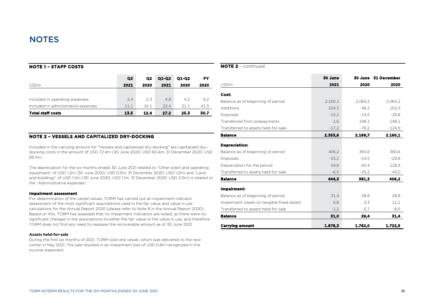### **NOTE 1 – STAFF COSTS**

|                                     | Q <sub>2</sub> | Q <sub>2</sub> | Q1-Q2 | Q1-Q2 | FΥ   |
|-------------------------------------|----------------|----------------|-------|-------|------|
| <b>USDm</b>                         | 2021           | 2020           | 2021  | 2020  | 2020 |
|                                     |                |                |       |       |      |
| Included in operating expenses      | 2.4            | 2.3            | 4.8   | 4.2   | 9.2  |
| Included in administrative expenses | 11.1           | 10.1           | 224   | 21.1  | 41.5 |
| <b>Total staff costs</b>            | 13.5           | 12.4           | 27.2  | 25.3  | 50.7 |

### **NOTE 2 – VESSELS AND CAPITALIZED DRY-DOCKING**

Included in the carrying amount for "Vessels and capitalized dry-docking" are capitalized drydocking costs in the amount of USD 72.4m (30 June 2020: USD 60.4m, 31 December 2020: USD 66.1m).

The depreciation for the six months ended 30 June 2021 related to "Other plant and operating equipment" of USD 1.2m (30 June 2020: USD 0.5m, 31 December 2020: USD 1.2m) and "Land and buildings" of USD 1.0m (30 June 2020: USD 1.1m, 31 December 2020: USD 2.3m) is related to the "Administrative expenses".

#### **Impairment assessment**

For determination of the vessel values, TORM has carried out an impairment indicator assessment of the most significant assumptions used in the fair value and value in use calculations for the Annual Report 2020 (please refer to Note 8 in the Annual Report 2020). Based on this, TORM has assessed that no impairment indicators are noted, as there were no significant changes in the assumptions to either the fair value or the value in use, and therefore TORM does not find any need to reassess the recoverable amount as of 30 June 2021.

#### **Assets held-for-sale**

During the first six months of 2021, TORM sold one vessel, which was delivered to the new owner in May 2021. The sale resulted in an impairment loss of USD 0.8m recognized in the income statement.

### **NOTE 2** – continued

|                                            | 30 June |         | 30 June 31 December |
|--------------------------------------------|---------|---------|---------------------|
| <b>USDm</b>                                | 2021    | 2020    | 2020                |
| Cost:                                      |         |         |                     |
| Balance as of beginning of period          | 2.160,1 | 2.064.2 | 2.064.2             |
| Additions                                  | 224,3   | 48.1    | 102,5               |
| Disposals                                  | $-15,2$ | $-14.5$ | $-29.8$             |
| Transferred from prepayments               | 1,6     | 148,1   | 148,1               |
| Transferred to assets held-for-sale        | $-17,2$ | $-76,2$ | $-124.9$            |
| <b>Balance</b>                             | 2.353,6 | 2.169,7 | 2.160,1             |
| <b>Depreciation:</b>                       |         |         |                     |
| Balance as of beginning of period          | 406,2   | 360,6   | 360,6               |
| Disposals                                  | $-15,2$ | $-14.5$ | $-29.8$             |
| Depreciation for the period                | 59,8    | 60.4    | 118,4               |
| Transferred to assets held-for-sale        | $-6,5$  | $-25,2$ | $-43,0$             |
| <b>Balance</b>                             | 444.3   | 381.3   | 406.2               |
| Impairment:                                |         |         |                     |
| Balance as of beginning of period          | 31,4    | 28,8    | 28,8                |
| Impairment losses on tangible fixed assets | 0,8     | 3,3     | 11,1                |
| Transferred to assets held-for-sale        | $-1,2$  | $-5,7$  | $-8,5$              |
| <b>Balance</b>                             | 31,0    | 26,4    | 31,4                |
| <b>Carrying amount</b>                     | 1.878,3 | 1.762,0 | 1.722,5             |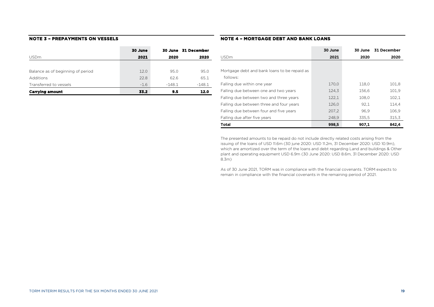### **NOTE 3 – PREPAYMENTS ON VESSELS**

|                                   | 30 June |          | 30 June 31 December |
|-----------------------------------|---------|----------|---------------------|
| <b>USDm</b>                       | 2021    | 2020     | 2020                |
|                                   |         |          |                     |
| Balance as of beginning of period | 12.0    | 95.0     | 95.0                |
| <b>Additions</b>                  | 22.8    | 62.6     | 65.1                |
| Transferred to vessels            | $-1.6$  | $-148.1$ | $-148.1$            |
| <b>Carrying amount</b>            | 33.2    | 9.5      | 12.0                |

### **NOTE 4 – MORTGAGE DEBT AND BANK LOANS**

|                                              | 30 June | 30 June | 31 December |
|----------------------------------------------|---------|---------|-------------|
| <b>USDm</b>                                  | 2021    | 2020    | 2020        |
|                                              |         |         |             |
| Mortgage debt and bank loans to be repaid as |         |         |             |
| follows:                                     |         |         |             |
| Falling due within one year                  | 170.0   | 118.0   | 101.8       |
| Falling due between one and two years        | 124,3   | 156.6   | 101,9       |
| Falling due between two and three years      | 122,1   | 108.0   | 102.1       |
| Falling due between three and four years     | 126.0   | 92.1    | 114.4       |
| Falling due between four and five years      | 207.2   | 96.9    | 106.9       |
| Falling due after five years                 | 248.9   | 335.5   | 315,3       |
| <b>Total</b>                                 | 998,5   | 907,1   | 842,4       |

The presented amounts to be repaid do not include directly related costs arising from the issuing of the loans of USD 11.6m (30 june 2020: USD 11.2m, 31 December 2020: USD 10.9m), which are amortized over the term of the loans and debt regarding Land and buildings & Other plant and operating equipment USD 6.9m (30 June 2020: USD 8.6m, 31 December 2020: USD 8.3m)

As of 30 June 2021, TORM was in compliance with the financial covenants. TORM expects to remain in compliance with the financial covenants in the remaining period of 2021.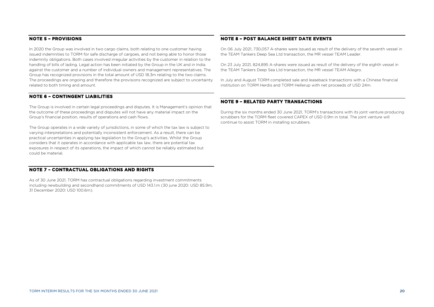### **NOTE 5 – PROVISIONS**

In 2020 the Group was involved in two cargo claims, both relating to one customer having issued indemnities to TORM for safe discharge of cargoes, and not being able to honor those indemnity obligations. Both cases involved irregular activities by the customer in relation to the handling of bills of lading. Legal action has been initiated by the Group in the UK and in India against the customer and a number of individual owners and management representatives. The Group has recognized provisions in the total amount of USD 18.3m relating to the two claims. The proceedings are ongoing and therefore the provisions recognized are subject to uncertainty related to both timing and amount.

### **NOTE 6 – CONTINGENT LIABILITIES**

The Group is involved in certain legal proceedings and disputes. It is Management's opinion that the outcome of these proceedings and disputes will not have any material impact on the Group's financial position, results of operations and cash flows.

The Group operates in a wide variety of jurisdictions, in some of which the tax law is subject to varying interpretations and potentially inconsistent enforcement. As a result, there can be practical uncertainties in applying tax legislation to the Group's activities. Whilst the Group considers that it operates in accordance with applicable tax law, there are potential tax exposures in respect of its operations, the impact of which cannot be reliably estimated but could be material.

### **NOTE 7 – CONTRACTUAL OBLIGATIONS AND RIGHTS**

As of 30 June 2021, TORM has contractual obligations regarding investment commitments including newbuilding and secondhand commitments of USD 143.1.m (30 june 2020: USD 85.9m, 31 December 2020: USD 100.6m).

### **NOTE 8 – POST BALANCE SHEET DATE EVENTS**

On 06 July 2021, 730,057 A-shares were issued as result of the delivery of the seventh vessel in the TEAM Tankers Deep Sea Ltd transaction, the MR vessel TEAM Leader.

On 23 July 2021, 824,895 A-shares were issued as result of the delivery of the eighth vessel in the TEAM Tankers Deep Sea Ltd transaction, the MR vessel TEAM Allegro.

In July and August TORM completed sale and leaseback transactions with a Chinese financial institution on TORM Herdis and TORM Hellerup with net proceeds of USD 24m.

### **NOTE 9 – RELATED PARTY TRANSACTIONS**

During the six months ended 30 June 2021, TORM's transactions with its joint venture producing scrubbers for the TORM fleet covered CAPEX of USD 0.9m in total. The joint venture will continue to assist TORM in installing scrubbers.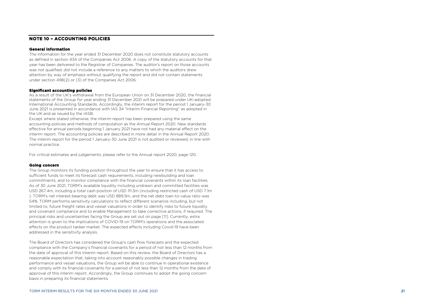### **NOTE 10 – ACCOUNTING POLICIES**

#### **General information**

The information for the year ended 31 December 202 0 does not constitute statutory accounts as defined in section 43 4 of the Companies Act 2006. A copy of the statutory accounts for that year has been delivered to the Registrar of Companies. The auditor's report on those accounts was not qualified, did not include a reference to any matters to which the auditors drew attention by way of emphasis without qualifying the report and did not contain statements under section 498(2) or (3) of the Companies Act 2006.

#### **Significant accounting policies**

As a result of the UK's withdrawal from the European Union on 31 December 2020, the financial statements of the Group for year ending 31 December 2021 will be prepared under UK -adopted International Accounting Standards. Accordingly, the interim report for the period 1 January -30 June 2021 is presented in accordance with IAS 34 "Interim Financial Reporting" as adopted in the UK and as issued by the IASB .

Except where stated otherwise, the interim report has been prepared using the same accounting policies and methods of computation as the Annual Report 2020. New standards effective for annual periods beginning 1 January 20 2 1 have not had any material effect on the interim report. The accounting policies are described in more detail in the Annual Report 2020. The interim report for the period 1 January - 30 June 202 1 is not audited or reviewed, in line with normal practice.

For critical estimates and judgements, please refer to the Annual report 2020, page 120 .

#### **Going concern**

The Group monitors its funding position throughout the year to ensure that it has access to sufficient funds to meet its forecast cash requirements, including newbuilding and loan commitments, and to monitor compliance with the financial covenants within its loan facilities. As of 30 June 202 1, TORM's available liquidity including undrawn and committed facilities was USD 267.4 m, including a total cash position of USD 1 1 1 . 3 m (including restricted cash of USD 7 . 1m ). TORM's net interest -bearing debt was USD 889. 5 m , and the net debt loan -to -value ratio was 5 4%. TORM performs sensitivity calculations to reflect different scenarios including, but not limited to, future freight rates and vessel valuations in order to identify risks to future liquidity and covenant compliance and to enable Management to take corrective actions, if required. The principal risks and uncertainties facing the Group are set out on page [ 1 1 ] . Currently , extra attention is given to the implications of COVID -19 on TORM's operations and the associated effects on the product tanker market. The expected effect s including Covid -19 have been addressed in the sensitivity analysis.

The Board of Directors has considered the Group's cash flow forecasts and the expected compliance with the Company's financial covenants for a period of not less than 12 months from the date of approval of this interim report. Based on this review, the Board of Directors has a reasonable expectation that, taking into account reasonably possible changes in trading performance and vessel valuations, the Group will be able to continue in operational existence and comply with its financial covenants for a period of not less than 12 months from the date of approval of this interim report. Accordingly, the Group continues to adopt the going concern basis in preparing its financial statements.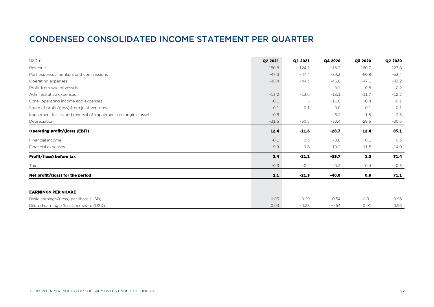### CONDENSED CONSOLIDATED INCOME STATEMENT PER QUARTER

| <b>USDm</b>                                                     | Q2 2021 | Q1 2021 | Q4 2020 | Q3 2020 | Q2 2020 |
|-----------------------------------------------------------------|---------|---------|---------|---------|---------|
| Revenue                                                         | 150.8   | 124.1   | 116.3   | 160.7   | 227.8   |
| Port expenses, bunkers and commissions                          | $-47.3$ | $-47.4$ | $-39.3$ | $-50.8$ | $-53.4$ |
| Operating expenses                                              | $-45.4$ | $-44.3$ | $-45.0$ | $-47.1$ | $-43.2$ |
| Profit from sale of vessels                                     |         |         | 0.1     | 0.8     | 0.2     |
| Administrative expenses                                         | $-13.2$ | $-13.6$ | $-13.1$ | $-11.7$ | $-12.2$ |
| Other operating income and expenses                             | $-0.1$  |         | $-11.0$ | $-8.4$  | $-0.1$  |
| Share of profit/(loss) from joint ventures                      | $-0.1$  | 0.1     | 0.0     | $-0.1$  | $-0.1$  |
| Impairment losses and reversal of impairment on tangible assets | $-0.8$  |         | $-6.3$  | $-1.5$  | $-3.3$  |
| Depreciation                                                    | $-31.5$ | $-30.5$ | $-30.4$ | $-29.5$ | $-30.6$ |
| Operating profit/(loss) (EBIT)                                  | 12.4    | $-11.6$ | $-28.7$ | 12.4    | 85.1    |
| Financial income                                                | $-0.1$  | 0.3     | $-0.8$  | 0.1     | 0.3     |
| Financial expenses                                              | $-9.9$  | $-9.8$  | $-10.2$ | $-11.5$ | $-14.0$ |
| Profit/(loss) before tax                                        | 2.4     | $-21.1$ | $-39.7$ | 1.0     | 71.4    |
| Tax                                                             | $-0.3$  | $-0.2$  | $-0.3$  | $-0.4$  | $-0.3$  |
| Net profit/(loss) for the period                                | 2.1     | $-21.3$ | $-40.0$ | 0.6     | 71.1    |
|                                                                 |         |         |         |         |         |
| <b>EARNINGS PER SHARE</b>                                       |         |         |         |         |         |
| Basic earnings/(loss) per share (USD)                           | 0.03    | $-0.29$ | $-0.54$ | 0.01    | 0.96    |
| Diluted earnings/(loss) per share (USD)                         | 0.03    | $-0.28$ | $-0.54$ | 0.01    | 0.96    |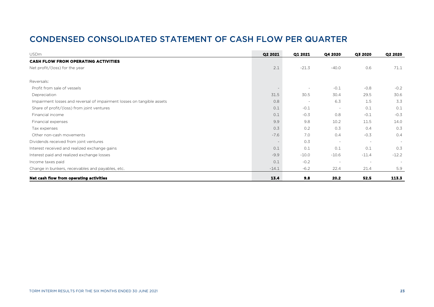### CONDENSED CONSOLIDATED STATEMENT OF CASH FLOW PER QUARTER

| <b>USDm</b>                                                            | Q2 2021 | Q1 2021 | Q4 2020                  | Q3 2020                  | Q2 2020 |
|------------------------------------------------------------------------|---------|---------|--------------------------|--------------------------|---------|
| <b>CASH FLOW FROM OPERATING ACTIVITIES</b>                             |         |         |                          |                          |         |
| Net profit/(loss) for the year                                         | 2.1     | $-21.3$ | $-40.0$                  | 0.6                      | 71.1    |
| Reversals:                                                             |         |         |                          |                          |         |
| Profit from sale of vessels                                            |         |         | $-0.1$                   | $-0.8$                   | $-0.2$  |
| Depreciation                                                           | 31.5    | 30.5    | 30.4                     | 29.5                     | 30.6    |
| Impairment losses and reversal of impairment losses on tangible assets | 0.8     |         | 6.3                      | 1.5                      | 3.3     |
| Share of profit/(loss) from joint ventures                             | 0.1     | $-0.1$  |                          | 0.1                      | 0.1     |
| Financial income                                                       | 0.1     | $-0.3$  | 0.8                      | $-0.1$                   | $-0.3$  |
| Financial expenses                                                     | 9.9     | 9.8     | 10.2                     | 11.5                     | 14.0    |
| Tax expenses                                                           | 0.3     | 0.2     | 0.3                      | 0.4                      | 0.3     |
| Other non-cash movements                                               | $-7.6$  | 7.0     | 0.4                      | $-0.3$                   | 0.4     |
| Dividends received from joint ventures                                 |         | 0.3     | $\overline{\phantom{a}}$ | $\overline{\phantom{a}}$ | $\sim$  |
| Interest received and realized exchange gains                          | 0.1     | 0.1     | 0.1                      | 0.1                      | 0.3     |
| Interest paid and realized exchange losses                             | $-9.9$  | $-10.0$ | $-10.6$                  | $-11.4$                  | $-12.2$ |
| Income taxes paid                                                      | 0.1     | $-0.2$  |                          | $\overline{\phantom{a}}$ | $\sim$  |
| Change in bunkers, receivables and payables, etc.                      | $-14.1$ | $-6.2$  | 22.4                     | 21.4                     | 5.9     |
| Net cash flow from operating activities                                | 13.4    | 9.8     | 20.2                     | 52.5                     | 113.3   |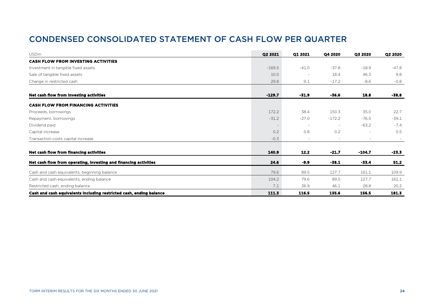### CONDENSED CONSOLIDATED STATEMENT OF CASH FLOW PER QUARTER

| <b>USDm</b>                                                         | Q2 2021                  | Q1 2021                  | Q4 2020  | Q3 2020  | Q2 2020 |
|---------------------------------------------------------------------|--------------------------|--------------------------|----------|----------|---------|
| <b>CASH FLOW FROM INVESTING ACTIVITIES</b>                          |                          |                          |          |          |         |
| Investment in tangible fixed assets                                 | $-169.5$                 | $-41.0$                  | $-37.8$  | $-18.9$  | $-47.8$ |
| Sale of tangible fixed assets                                       | 10.0                     | ٠                        | 18.4     | 46.3     | 9.8     |
| Change in restricted cash                                           | 29.8                     | 9.1                      | $-17.2$  | $-8.6$   | $-0.8$  |
| Net cash flow from investing activities                             | $-129.7$                 | $-31.9$                  | $-36.6$  | 18.8     | $-38.8$ |
| <b>CASH FLOW FROM FINANCING ACTIVITIES</b>                          |                          |                          |          |          |         |
| Proceeds, borrowings                                                | 172.2                    | 38.4                     | 150.3    | 35.0     | 22.7    |
| Repayment, borrowings                                               | $-31.2$                  | $-27.0$                  | $-172.2$ | $-76.5$  | $-39.1$ |
| Dividend paid                                                       | $\overline{\phantom{a}}$ | $\overline{\phantom{a}}$ |          | $-63.2$  | $-7.4$  |
| Capital increase                                                    | 0.2                      | 0.8                      | 0.2      |          | 0.5     |
| Transaction costs capital increase                                  | $-0.3$                   | $\sim$                   |          | $\sim$   | $\sim$  |
| Net cash flow from financing activities                             | 140.9                    | 12.2                     | $-21.7$  | $-104.7$ | -23.3   |
| Net cash flow from operating, investing and financing activities    | 24.6                     | $-9.9$                   | $-38.1$  | $-33.4$  | 51.2    |
| Cash and cash equivalents, beginning balance                        | 79.6                     | 89.5                     | 127.7    | 161.1    | 109.9   |
| Cash and cash equivalents, ending balance                           | 104.2                    | 79.6                     | 89.5     | 127.7    | 161.1   |
| Restricted cash, ending balance                                     | 7.1                      | 36.9                     | 46.1     | 28.8     | 20.2    |
| Cash and cash equivalents including restricted cash, ending balance | 111.3                    | 116.5                    | 135.6    | 156.5    | 181.3   |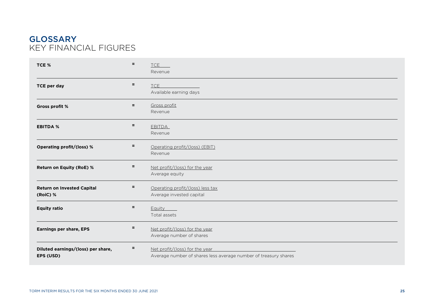### GLOSSARY KEY FINANCIAL FIGURES

| TCE %                                           | $=$ | TCE <b>T</b><br>Revenue                                                                           |
|-------------------------------------------------|-----|---------------------------------------------------------------------------------------------------|
| <b>TCE per day</b>                              | Ξ   | <b>TCE</b><br>Available earning days                                                              |
| Gross profit %                                  | $=$ | Gross profit<br>Revenue                                                                           |
| <b>EBITDA %</b>                                 | $=$ | <b>EBITDA</b><br>Revenue                                                                          |
| Operating profit/(loss) %                       | Ξ   | Operating profit/(loss) (EBIT)<br>Revenue                                                         |
| <b>Return on Equity (RoE) %</b>                 | Ξ   | Net profit/(loss) for the year<br>Average equity                                                  |
| <b>Return on Invested Capital</b><br>(RoiC) %   | $=$ | Operating profit/(loss) less tax<br>Average invested capital                                      |
| <b>Equity ratio</b>                             | Ξ   | <b>Equity</b><br>Total assets                                                                     |
| <b>Earnings per share, EPS</b>                  | $=$ | Net profit/(loss) for the year<br>Average number of shares                                        |
| Diluted earnings/(loss) per share,<br>EPS (USD) | Ξ   | Net profit/(loss) for the year<br>Average number of shares less average number of treasury shares |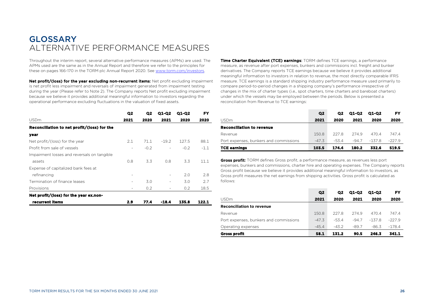### **GLOSSARY** ALTERNATIVE PERFORMANCE MEASURES

Throughout the interim report, several alternative performance measures (APMs) are used. The APMs used are the same as in the Annual Report and therefore we refer to the principles for these on pages 166-170 in the TORM plc Annual Report 2020. See [www.torm.com/investors.](http://www.torm.com/investors)

Net profit/(loss) for the year excluding non-recurrent items: Net profit excluding impairment is net profit less impairment and reversals of impairment generated from impairment testing during the year (Please refer to Note 2). The Company reports Net profit excluding impairment because we believe it provides additional meaningful information to investors regarding the operational performance excluding fluctuations in the valuation of fixed assets.

|                                             | Q2   | Q2     | Q1-Q2   | Q1-Q2  | FY     |
|---------------------------------------------|------|--------|---------|--------|--------|
| <b>USDm</b>                                 | 2021 | 2020   | 2021    | 2020   | 2020   |
| Reconciliation to net profit/(loss) for the |      |        |         |        |        |
| year                                        |      |        |         |        |        |
| Net profit/(loss) for the year              | 2.1  | 71.1   | $-19.2$ | 127.5  | 88.1   |
| Profit from sale of vessels                 | ٠    | $-0.2$ |         | $-0.2$ | $-1.1$ |
| Impairment losses and reversals on tangible |      |        |         |        |        |
| assets                                      | 0.8  | 3.3    | 0.8     | 3.3    | 11.1   |
| Expense of capitalized bank fees at         |      |        |         |        |        |
| refinancing                                 | ۰    |        |         | 2.0    | 2.8    |
| Termination of finance leases               | ٠    | 3.0    |         | 3.0    | 2.7    |
| Provisions                                  | ۰    | 0.2    |         | 0.2    | 18.5   |
| Net profit/(loss) for the year ex.non-      |      |        |         |        |        |
| recurrent items                             | 2.9  | 77.4   | -18.4   | 135.8  | 122.1  |

Time Charter Equivalent (TCE) earnings: TORM defines TCE earnings, a performance measure, as revenue after port expenses, bunkers and commissions incl. freight and bunker derivatives. The Company reports TCE earnings because we believe it provides additional meaningful information to investors in relation to revenue, the most directly comparable IFRS measure. TCE earnings is a standard shipping industry performance measure used primarily to compare period-to-period changes in a shipping company's performance irrespective of changes in the mix of charter types (i.e., spot charters, time charters and bareboat charters) under which the vessels may be employed between the periods. Below is presented a reconciliation from Revenue to TCE earnings:

|                                        | Q <sub>2</sub> | O <sub>2</sub> | <b>Q1-Q2</b> | <b>Q1-Q2</b> | FY       |
|----------------------------------------|----------------|----------------|--------------|--------------|----------|
| <b>USDm</b>                            | 2021           | 2020           | 2021         | 2020         | 2020     |
| Reconciliation to revenue              |                |                |              |              |          |
| Revenue                                | 150.8          | 2278           | 2749         | 4704         | 747.4    |
| Port expenses, bunkers and commissions | $-47.3$        | $-534$         | $-94.7$      | $-1378$      | $-227.9$ |
| <b>TCE earnings</b>                    | 103.5          | 174.4          | 180.2        | 332.6        | 519.5    |

Gross profit: TORM defines Gross profit, a performance measure, as revenues less port expenses, bunkers and commissions, charter hire and operating expenses. The Company reports Gross profit because we believe it provides additional meaningful information to investors, as Gross profit measures the net earnings from shipping activities. Gross profit is calculated as follows:

|                                        | Q <sub>2</sub> | $\Omega$ | Q1-Q2   | Q1-Q2    | FY       |
|----------------------------------------|----------------|----------|---------|----------|----------|
| USDm                                   | 2021           | 2020     | 2021    | 2020     | 2020     |
| Reconciliation to revenue              |                |          |         |          |          |
| Revenue                                | 150.8          | 227.8    | 274.9   | 470.4    | 747.4    |
| Port expenses, bunkers and commissions | $-47.3$        | $-53.4$  | $-94.7$ | $-137.8$ | $-227.9$ |
| Operating expenses                     | $-45.4$        | $-43.2$  | $-89.7$ | $-86.3$  | $-178.4$ |
| Gross profit                           | 58.1           | 131.2    | 90.5    | 246.3    | 341.1    |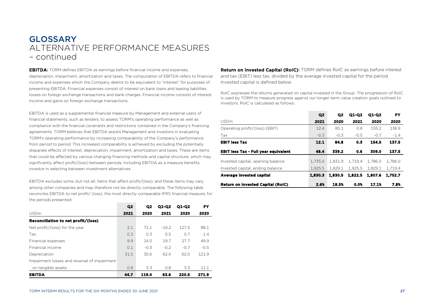**EBITDA:** TORM defines EBITDA as earnings before financial income and expenses, depreciation, impairment, amortization and taxes. The computation of EBITDA refers to financial income and expenses which the Company deems to be equivalent to "interest" for purposes of presenting EBITDA. Financial expenses consist of interest on bank loans and leasing liabilities, losses on foreign exchange transactions and bank charges. Financial income consists of interest income and gains on foreign exchange transactions.

EBITDA is used as a supplemental financial measure by Management and external users of financial statements, such as lenders, to assess TORM's operating performance as well as compliance with the financial covenants and restrictions contained in the Company's financing agreements. TORM believes that EBITDA assists Management and investors in evaluating TORM's operating performance by increasing comparability of the Company's performance from period to period. This increased comparability is achieved by excluding the potentially disparate effects of interest, depreciation, impairment, amortization and taxes. These are items that could be affected by various changing financing methods and capital structure, which may significantly affect profit/(loss) between periods. Including EBITDA as a measure benefits investor in selecting between investment alternatives.

EBITDA excludes some, but not all, items that affect profit/(loss), and these items may vary among other companies and may therefore not be directly comparable. The following table reconciles EBITDA to net profit/ (loss), the most directly comparable IFRS financial measure, for the periods presented: **Contract Contract** 

|                                              | Q <sub>2</sub> | Q <sub>2</sub> | Q1-Q2   | Q1-Q2  | FY     |
|----------------------------------------------|----------------|----------------|---------|--------|--------|
| <b>USDm</b>                                  | 2021           | 2020           | 2021    | 2020   | 2020   |
| Reconciliation to net profit/(loss)          |                |                |         |        |        |
| Net profit/(loss) for the year               | 2.1            | 71.1           | $-19.2$ | 127.5  | 88.1   |
| Tax                                          | 0.3            | 0.3            | 0.5     | 0.7    | 1.4    |
| Financial expenses                           | 9.9            | 14.0           | 19.7    | 27.7   | 49.9   |
| Financial income                             | 0.1            | $-0.3$         | $-0.2$  | $-0.7$ | $-0.5$ |
| Depreciation                                 | 31.5           | 30.6           | 62.0    | 62.0   | 121.9  |
| Impairment losses and reversal of impairment |                |                |         |        |        |
| on tangible assets                           | 0.8            | 3.3            | 0.8     | 3.3    | 11.1   |
| <b>EBITDA</b>                                | 44.7           | 119.0          | 63.6    | 220.5  | 271.9  |

Return on Invested Capital (RoIC): TORM defines RoIC as earnings before interest and tax (EBIT) less tax, divided by the average invested capital for the period. Invested capital is defined below.

RoIC expresses the returns generated on capital invested in the Group. The progression of RoIC is used by TORM to measure progress against our longer-term value creation goals outlined to investors. RoIC is calculated as follows:

|                                             | Q <sub>2</sub> | Q <sub>2</sub> | Q1-Q2   | Q1-Q2   | <b>FY</b> |
|---------------------------------------------|----------------|----------------|---------|---------|-----------|
| <b>USDm</b>                                 | 2021           | 2020           | 2021    | 2020    | 2020      |
| Operating profit/(loss) (EBIT)              | 12.4           | 85.1           | 0.8     | 155.2   | 138.9     |
| Tax                                         | $-0.3$         | $-0.3$         | $-0.5$  | $-0.7$  | $-1.4$    |
| <b>EBIT less Tax</b>                        | 12.1           | 84.8           | 0.3     | 154.5   | 137.5     |
| <b>EBIT less Tax - Full year equivalent</b> | 48.4           | 339.2          | 0.6     | 309.0   | 137.5     |
| Invested capital, opening balance           | 1.735.0        | 1.831.9        | 1.719.4 | 1.786.0 | 1.786.0   |
| Invested capital, ending balance            | 1.925.5        | 1.829.1        | 1.925.5 | 1.829.1 | 1.719.4   |
| Average invested capital                    | 1.830.3        | 1.830.5        | 1.822.5 | 1.807.6 | 1.752.7   |
| <b>Return on Invested Capital (RoIC)</b>    | 2.6%           | 18.5%          | 0.0%    | 17.1%   | 7.8%      |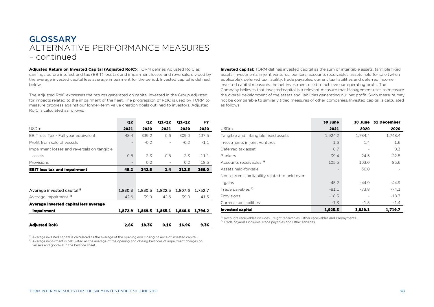Adiusted Return on Invested Capital (Adjusted RoIC): TORM defines Adjusted RoIC as earnings before interest and tax (EBIT) less tax and impairment losses and reversals, divided by the average invested capital less average impairment for the period. Invested capital is defined below.

The Adjusted RoIC expresses the returns generated on capital invested in the Group adjusted for impacts related to the impairment of the fleet. The progression of RoIC is used by TORM to measure progress against our longer-term value creation goals outlined to investors. Adjusted RoIC is calculated as follows:

**Invested capital:** TORM defines invested capital as the sum of intangible assets, tangible fixed assets, investments in joint ventures, bunkers, accounts receivables, assets held for sale (when applicable), deferred tax liability, trade payables, current tax liabilities and deferred income. Invested capital measures the net investment used to achieve our operating profit. The Company believes that invested capital is a relevant measure that Management uses to measure the overall development of the assets and liabilities generating our net profit. Such measure may not be comparable to similarly titled measures of other companies. Invested capital is calculated as follows:

USDm **2021 2020 2020**  Tangible and intangible fixed assets 1,924.2 1,784.4 1,748.4

**30 June 30 June 31 December** 

|                                             | Q <sub>2</sub>           | Q2      | Q1-Q2   | Q1-Q2   | FY      |
|---------------------------------------------|--------------------------|---------|---------|---------|---------|
| <b>USDm</b>                                 | 2021                     | 2020    | 2021    | 2020    | 2020    |
| EBIT less Tax - Full year equivalent        | 48.4                     | 339.2   | 0.6     | 309.0   | 137.5   |
| Profit from sale of vessels                 | -                        | $-0.2$  |         | $-0.2$  | $-1.1$  |
| Impairment losses and reversals on tangible |                          |         |         |         |         |
| assets                                      | 0.8                      | 3.3     | 0.8     | 3.3     | 11.1    |
| Provisions                                  | $\overline{\phantom{a}}$ | 0.2     |         | 0.2     | 18.5    |
| <b>EBIT less tax and impairment</b>         | 49.2                     | 342.5   | 1.4     | 312.3   | 166.0   |
|                                             |                          |         |         |         |         |
| Average invested capital <sup>1</sup>       | 1.830.3                  | 1.830.5 | 1.822.5 | 1.807.6 | 1.752.7 |
| Average impairment <sup>2</sup>             | 42.6                     | 39.0    | 42.6    | 39.0    | 41.5    |
| Average invested capital less average       |                          |         |         |         |         |
| <b>Impairment</b>                           | 1,872.9                  | 1,869.5 | 1,865.1 | 1,846.6 | 1,794.2 |
| <b>Adjusted RoIC</b>                        | 2.6%                     | 18.3%   | 0.1%    | 16.9%   | 9.3%    |

| <sup>1)</sup> Accounts receivables includes Freight receivables, Other receivables and Prepayments. |         |         |         |
|-----------------------------------------------------------------------------------------------------|---------|---------|---------|
| <b>Invested capital</b>                                                                             | 1,925.5 | 1.829.1 | 1.719.7 |
| Current tax liabilities                                                                             | $-1.3$  | $-1.5$  | $-1.4$  |
| Provisions                                                                                          | $-18.3$ |         | $-18.3$ |
| Trade payables <sup>2</sup>                                                                         | $-81.1$ | $-73.8$ | $-74.1$ |
| gains                                                                                               | $-45.2$ | $-44.9$ | $-44.9$ |
| Non-current tax liability related to held over                                                      |         |         |         |
| Assets held-for-sale                                                                                |         | 36.0    |         |
| Accounts receivables <sup>1)</sup>                                                                  | 105.5   | 103.0   | 85.6    |
| <b>Bunkers</b>                                                                                      | 39.4    | 24.5    | 22.5    |
| Deferred tax asset                                                                                  | 0.7     |         | 0.3     |
| Investments in joint ventures                                                                       | 1.6     | 1.4     | 1.6     |

<sup>1)</sup> Accounts receivables includes Freight receivables, Other receivables and Prepayments.<br><sup>2)</sup> Trade payables includes Trade payables and Other liabilities.

 $^{\rm 1)}$  Average invested capital is calculated as the average of the opening and closing balance of invested capital. <sup>2)</sup> Average impairment is calculated as the average of the opening and closing balances of impairment charges on vessels and goodwill in the balance sheet.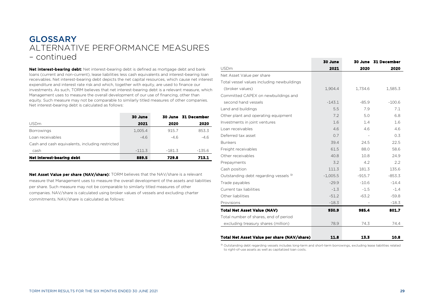Net interest-bearing debt: Net interest-bearing debt is defined as mortgage debt and bank loans (current and non-current), lease liabilities less cash equivalents and interest-bearing loan receivables. Net interest-bearing debt depicts the net capital resources, which cause net interest expenditure and interest rate risk and which, together with equity, are used to finance our investments. As such, TORM believes that net interest-bearing debt is a relevant measure, which Management uses to measure the overall development of our use of financing, other than equity. Such measure may not be comparable to similarly titled measures of other companies. Net interest-bearing debt is calculated as follows:

|                                                 | 30 June  |          | 30 June 31 December |
|-------------------------------------------------|----------|----------|---------------------|
| <b>USDm</b>                                     | 2021     | 2020     | 2020                |
| <b>Borrowings</b>                               | 1.005.4  | 915.7    | 853.3               |
| Loan receivables                                | $-4.6$   | $-46$    | $-4.6$              |
| Cash and cash equivalents, including restricted |          |          |                     |
| cash                                            | $-111.3$ | $-181.3$ | $-135.6$            |
| Net interest-bearing debt                       | 889.5    | 729.8    | 713.1               |

Net Asset Value per share (NAV/share): TORM believes that the NAV/share is a relevant measure that Management uses to measure the overall development of the assets and liabilities per share. Such measure may not be comparable to similarly titled measures of other companies. NAV/share is calculated using broker values of vessels and excluding charter commitments. NAV/share is calculated as follows:

|                                             | 30 June    |          | 30 June 31 December |
|---------------------------------------------|------------|----------|---------------------|
| <b>USDm</b>                                 | 2021       | 2020     | 2020                |
| Net Asset Value per share                   |            |          |                     |
| Total vessel values including newbuildings  |            |          |                     |
| (broker values)                             | 1,904.4    | 1,734.6  | 1,585.3             |
| Committed CAPEX on newbuildings and         |            |          |                     |
| second hand vessels                         | $-143.1$   | $-85.9$  | $-100.6$            |
| Land and buildings                          | 5.5        | 7.9      | 7.1                 |
| Other plant and operating equipment         | 7.2        | 5.0      | 6.8                 |
| Investments in joint ventures               | 1.6        | 1.4      | 1.6                 |
| Loan receivables                            | 4.6        | 4.6      | 4.6                 |
| Deferred tax asset                          | 0.7        |          | 0.3                 |
| <b>Bunkers</b>                              | 39.4       | 24.5     | 22.5                |
| Freight receivables                         | 61.5       | 88.0     | 58.6                |
| Other receivables                           | 40.8       | 10.8     | 24.9                |
| Prepayments                                 | 3.2        | 4.2      | 2.2                 |
| Cash position                               | 111.3      | 181.3    | 135.6               |
| Outstanding debt regarding vessels 1)       | $-1,005.5$ | $-915.7$ | $-853.3$            |
| Trade payables                              | $-29.9$    | $-10.6$  | $-14.4$             |
| Current tax liabilities                     | $-1.3$     | $-1.5$   | $-1.4$              |
| Other liabilities                           | $-51.2$    | $-63.2$  | $-59.8$             |
| Provisions                                  | $-18.3$    |          | $-18.3$             |
| <b>Total Net Asset Value (NAV)</b>          | 930.9      | 985.4    | 801.7               |
| Total number of shares, end of period       |            |          |                     |
| excluding treasury shares (million)         | 78.9       | 74.3     | 74.4                |
|                                             |            |          |                     |
| Total Net Asset Value per share (NAV/share) | 11.8       | 13.3     | 10.8                |

<sup>1)</sup> Outstanding debt regarding vessels includes long-term and short-term borrowings, excluding lease liabilities related to right-of-use assets as well as capitalized loan costs.